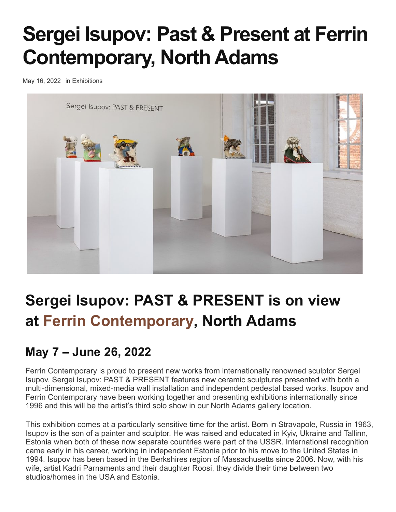# **Sergei Isupov: Past & Present at Ferrin Contemporary, North Adams**

[May 16, 2022](https://www.ceramicsnow.org/exhibitions/sergei-isupov-past-present-at-ferrin-contemporary-north-adams/) in [Exhibitions](https://www.ceramicsnow.org/exhibitions/)



## **S[ergei Isupov: PAST & PRESENT is on view](https://www.ceramicsnow.org/wp-content/uploads/2022/05/1-Ferrin-Contemporary-Sergei-Isupov-Past-_-Present-Installation-View-10-Medium.jpg) at Ferrin Contemporary, North Adams**

### **May 7 – June 26, 2022**

Ferrin Contemporary is proud to present new works from internationally renowned sculptor Sergei Isupov. Sergei Isupov: PAST & PRESENT features new ceramic sculptures presented with both a multi-dimensional, mixed-media wall installation and independent pedestal based works. Isupov and Ferrin Contemporary have been working together and presenting exhibitions internationally since 1996 and this will be the artist's third solo show in our North Adams gallery location.

This exhibition comes at a particularly sensitive time for the artist. Born in Stravapole, Russia in 1963, Isupov is the son of a painter and sculptor. He was raised and educated in Kyiv, Ukraine and Tallinn, Estonia when both of these now separate countries were part of the USSR. International recognition came early in his career, working in independent Estonia prior to his move to the United States in 1994. Isupov has been based in the Berkshires region of Massachusetts since 2006. Now, with his wife, artist Kadri Parnaments and their daughter Roosi, they divide their time between two studios/homes in the USA and Estonia.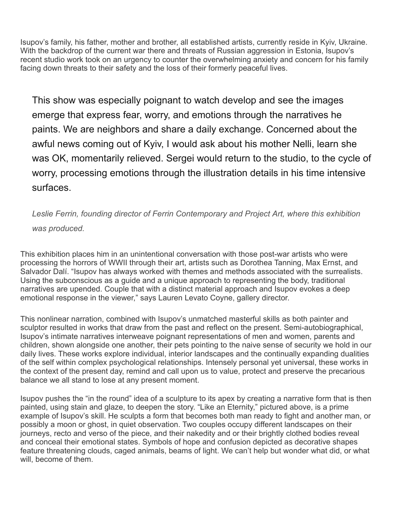Isupov's family, his father, mother and brother, all established artists, currently reside in Kyiv, Ukraine. With the backdrop of the current war there and threats of Russian aggression in Estonia. Isupov's recent studio work took on an urgency to counter the overwhelming anxiety and concern for his family facing down threats to their safety and the loss of their formerly peaceful lives.

This show was especially poignant to watch develop and see the images emerge that express fear, worry, and emotions through the narratives he paints. We are neighbors and share a daily exchange. Concerned about the awful news coming out of Kyiv, I would ask about his mother Nelli, learn she was OK, momentarily relieved. Sergei would return to the studio, to the cycle of worry, processing emotions through the illustration details in his time intensive surfaces.

*Leslie Ferrin, founding director of Ferrin Contemporary and Project Art, where this exhibition was produced.*

This exhibition places him in an unintentional conversation with those post-war artists who were processing the horrors of WWII through their art, artists such as Dorothea Tanning, Max Ernst, and Salvador Dalí. "Isupov has always worked with themes and methods associated with the surrealists. Using the subconscious as a guide and a unique approach to representing the body, traditional narratives are upended. Couple that with a distinct material approach and Isupov evokes a deep emotional response in the viewer," says Lauren Levato Coyne, gallery director.

This nonlinear narration, combined with Isupov's unmatched masterful skills as both painter and sculptor resulted in works that draw from the past and reflect on the present. Semi-autobiographical, Isupov's intimate narratives interweave poignant representations of men and women, parents and children, shown alongside one another, their pets pointing to the naive sense of security we hold in our daily lives. These works explore individual, interior landscapes and the continually expanding dualities of the self within complex psychological relationships. Intensely personal yet universal, these works in the context of the present day, remind and call upon us to value, protect and preserve the precarious balance we all stand to lose at any present moment.

Isupov pushes the "in the round" idea of a sculpture to its apex by creating a narrative form that is then painted, using stain and glaze, to deepen the story. "Like an Eternity," pictured above, is a prime example of Isupov's skill. He sculpts a form that becomes both man ready to fight and another man, or possibly a moon or ghost, in quiet observation. Two couples occupy different landscapes on their journeys, recto and verso of the piece, and their nakedity and or their brightly clothed bodies reveal and conceal their emotional states. Symbols of hope and confusion depicted as decorative shapes feature threatening clouds, caged animals, beams of light. We can't help but wonder what did, or what will, become of them.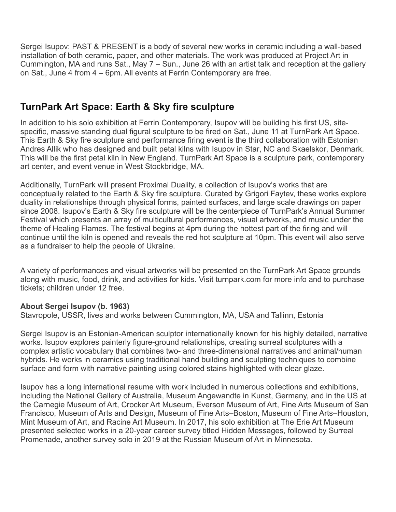Sergei Isupov: PAST & PRESENT is a body of several new works in ceramic including a wall-based installation of both ceramic, paper, and other materials. The work was produced at Project Art in Cummington, MA and runs Sat., May 7 – Sun., June 26 with an artist talk and reception at the gallery on Sat., June 4 from 4 – 6pm. All events at Ferrin Contemporary are free.

#### **TurnPark Art Space: Earth & Sky fire sculpture**

In addition to his solo exhibition at Ferrin Contemporary, Isupov will be building his first US, sitespecific, massive standing dual figural sculpture to be fired on Sat., June 11 at TurnPark Art Space. This Earth & Sky fire sculpture and performance firing event is the third collaboration with Estonian Andres Allik who has designed and built petal kilns with Isupov in Star, NC and Skaelskor, Denmark. This will be the first petal kiln in New England. TurnPark Art Space is a sculpture park, contemporary art center, and event venue in West Stockbridge, MA.

Additionally, TurnPark will present Proximal Duality, a collection of Isupov's works that are conceptually related to the Earth & Sky fire sculpture. Curated by Grigori Faytev, these works explore duality in relationships through physical forms, painted surfaces, and large scale drawings on paper since 2008. Isupov's Earth & Sky fire sculpture will be the centerpiece of TurnPark's Annual Summer Festival which presents an array of multicultural performances, visual artworks, and music under the theme of Healing Flames. The festival begins at 4pm during the hottest part of the firing and will continue until the kiln is opened and reveals the red hot sculpture at 10pm. This event will also serve as a fundraiser to help the people of Ukraine.

A variety of performances and visual artworks will be presented on the TurnPark Art Space grounds along with music, food, drink, and activities for kids. Visit turnpark.com for more info and to purchase tickets; children under 12 free.

#### **About Sergei Isupov (b. 1963)**

Stavropole, USSR, lives and works between Cummington, MA, USA and Tallinn, Estonia

Sergei Isupov is an Estonian-American sculptor internationally known for his highly detailed, narrative works. Isupov explores painterly figure-ground relationships, creating surreal sculptures with a complex artistic vocabulary that combines two- and three-dimensional narratives and animal/human hybrids. He works in ceramics using traditional hand building and sculpting techniques to combine surface and form with narrative painting using colored stains highlighted with clear glaze.

Isupov has a long international resume with work included in numerous collections and exhibitions, including the National Gallery of Australia, Museum Angewandte in Kunst, Germany, and in the US at the Carnegie Museum of Art, Crocker Art Museum, Everson Museum of Art, Fine Arts Museum of San Francisco, Museum of Arts and Design, Museum of Fine Arts–Boston, Museum of Fine Arts–Houston, Mint Museum of Art, and Racine Art Museum. In 2017, his solo exhibition at The Erie Art Museum presented selected works in a 20-year career survey titled Hidden Messages, followed by Surreal Promenade, another survey solo in 2019 at the Russian Museum of Art in Minnesota.